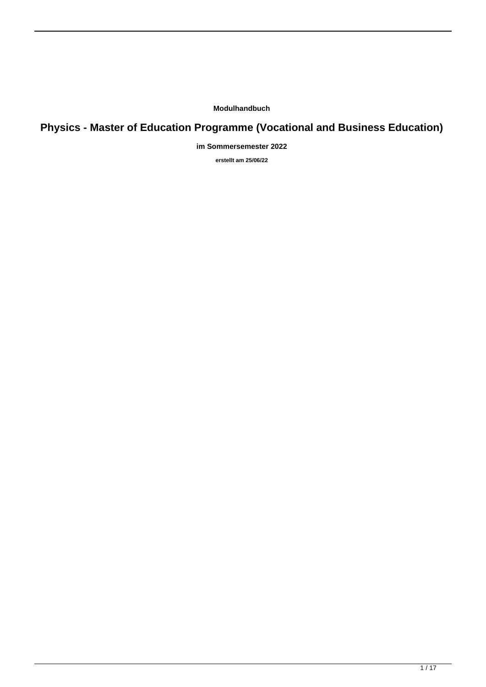**Modulhandbuch**

# **Physics - Master of Education Programme (Vocational and Business Education)**

**im Sommersemester 2022**

**erstellt am 25/06/22**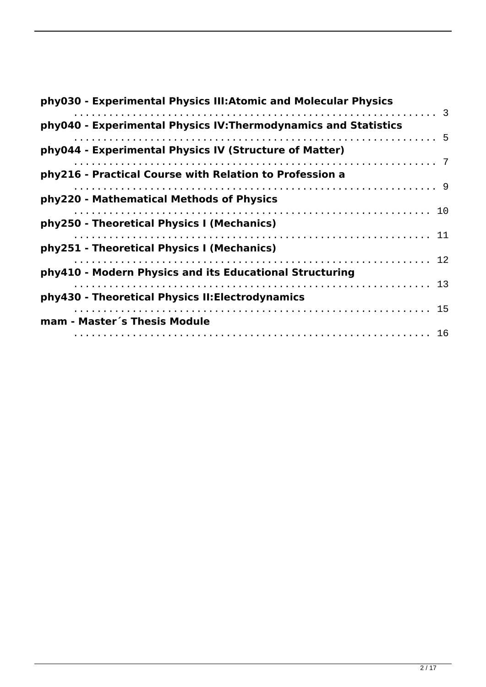| phy030 - Experimental Physics III: Atomic and Molecular Physics |
|-----------------------------------------------------------------|
| phy040 - Experimental Physics IV: Thermodynamics and Statistics |
| phy044 - Experimental Physics IV (Structure of Matter)          |
|                                                                 |
| phy216 - Practical Course with Relation to Profession a         |
| phy220 - Mathematical Methods of Physics                        |
| phy250 - Theoretical Physics I (Mechanics)                      |
|                                                                 |
| phy251 - Theoretical Physics I (Mechanics)                      |
| phy410 - Modern Physics and its Educational Structuring         |
|                                                                 |
| phy430 - Theoretical Physics II: Electrodynamics                |
| mam - Master's Thesis Module                                    |
|                                                                 |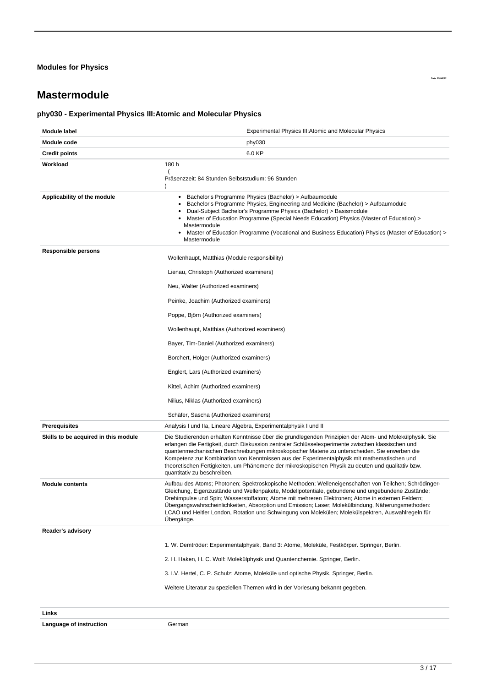#### <span id="page-2-0"></span>**Modules for Physics**

# **Mastermodule**

# **phy030 - Experimental Physics III:Atomic and Molecular Physics**

| Module label                         | <b>Experimental Physics III: Atomic and Molecular Physics</b>                                                                                                                                                                                                                                                                                                                                                                                                                                                                                    |  |  |
|--------------------------------------|--------------------------------------------------------------------------------------------------------------------------------------------------------------------------------------------------------------------------------------------------------------------------------------------------------------------------------------------------------------------------------------------------------------------------------------------------------------------------------------------------------------------------------------------------|--|--|
| Module code                          | phy030                                                                                                                                                                                                                                                                                                                                                                                                                                                                                                                                           |  |  |
| <b>Credit points</b>                 | 6.0 KP                                                                                                                                                                                                                                                                                                                                                                                                                                                                                                                                           |  |  |
| Workload                             | 180 h<br>Präsenzzeit: 84 Stunden Selbststudium: 96 Stunden                                                                                                                                                                                                                                                                                                                                                                                                                                                                                       |  |  |
| Applicability of the module          | Bachelor's Programme Physics (Bachelor) > Aufbaumodule<br>٠<br>Bachelor's Programme Physics, Engineering and Medicine (Bachelor) > Aufbaumodule<br>Dual-Subject Bachelor's Programme Physics (Bachelor) > Basismodule<br>Master of Education Programme (Special Needs Education) Physics (Master of Education) ><br>Mastermodule<br>Master of Education Programme (Vocational and Business Education) Physics (Master of Education) ><br>Mastermodule                                                                                            |  |  |
| Responsible persons                  | Wollenhaupt, Matthias (Module responsibility)                                                                                                                                                                                                                                                                                                                                                                                                                                                                                                    |  |  |
|                                      | Lienau, Christoph (Authorized examiners)                                                                                                                                                                                                                                                                                                                                                                                                                                                                                                         |  |  |
|                                      | Neu, Walter (Authorized examiners)                                                                                                                                                                                                                                                                                                                                                                                                                                                                                                               |  |  |
|                                      | Peinke, Joachim (Authorized examiners)                                                                                                                                                                                                                                                                                                                                                                                                                                                                                                           |  |  |
|                                      | Poppe, Björn (Authorized examiners)                                                                                                                                                                                                                                                                                                                                                                                                                                                                                                              |  |  |
|                                      | Wollenhaupt, Matthias (Authorized examiners)                                                                                                                                                                                                                                                                                                                                                                                                                                                                                                     |  |  |
|                                      | Bayer, Tim-Daniel (Authorized examiners)                                                                                                                                                                                                                                                                                                                                                                                                                                                                                                         |  |  |
|                                      | Borchert, Holger (Authorized examiners)                                                                                                                                                                                                                                                                                                                                                                                                                                                                                                          |  |  |
|                                      | Englert, Lars (Authorized examiners)                                                                                                                                                                                                                                                                                                                                                                                                                                                                                                             |  |  |
|                                      | Kittel, Achim (Authorized examiners)                                                                                                                                                                                                                                                                                                                                                                                                                                                                                                             |  |  |
|                                      | Nilius, Niklas (Authorized examiners)                                                                                                                                                                                                                                                                                                                                                                                                                                                                                                            |  |  |
|                                      | Schäfer, Sascha (Authorized examiners)                                                                                                                                                                                                                                                                                                                                                                                                                                                                                                           |  |  |
| <b>Prerequisites</b>                 | Analysis I und IIa, Lineare Algebra, Experimentalphysik I und II                                                                                                                                                                                                                                                                                                                                                                                                                                                                                 |  |  |
| Skills to be acquired in this module | Die Studierenden erhalten Kenntnisse über die grundlegenden Prinzipien der Atom- und Molekülphysik. Sie<br>erlangen die Fertigkeit, durch Diskussion zentraler Schlüsselexperimente zwischen klassischen und<br>quantenmechanischen Beschreibungen mikroskopischer Materie zu unterscheiden. Sie erwerben die<br>Kompetenz zur Kombination von Kenntnissen aus der Experimentalphysik mit mathematischen und<br>theoretischen Fertigkeiten, um Phänomene der mikroskopischen Physik zu deuten und qualitativ bzw.<br>quantitativ zu beschreiben. |  |  |
| <b>Module contents</b>               | Aufbau des Atoms; Photonen; Spektroskopische Methoden; Welleneigenschaften von Teilchen; Schrödinger-<br>Gleichung, Eigenzustände und Wellenpakete, Modellpotentiale, gebundene und ungebundene Zustände;<br>Drehimpulse und Spin; Wasserstoffatom; Atome mit mehreren Elektronen; Atome in externen Feldern;<br>Ubergangswahrscheinlichkeiten, Absorption und Emission; Laser; Molekülbindung, Näherungsmethoden:<br>LCAO und Heitler London, Rotation und Schwingung von Molekülen; Molekülspektren, Auswahlregeln für<br>Ubergänge.           |  |  |
| <b>Reader's advisory</b>             |                                                                                                                                                                                                                                                                                                                                                                                                                                                                                                                                                  |  |  |
|                                      | 1. W. Demtröder: Experimentalphysik, Band 3: Atome, Moleküle, Festkörper. Springer, Berlin.                                                                                                                                                                                                                                                                                                                                                                                                                                                      |  |  |
|                                      | 2. H. Haken, H. C. Wolf: Molekülphysik und Quantenchemie. Springer, Berlin.                                                                                                                                                                                                                                                                                                                                                                                                                                                                      |  |  |
|                                      | 3. I.V. Hertel, C. P. Schulz: Atome, Moleküle und optische Physik, Springer, Berlin.                                                                                                                                                                                                                                                                                                                                                                                                                                                             |  |  |
|                                      | Weitere Literatur zu speziellen Themen wird in der Vorlesung bekannt gegeben.                                                                                                                                                                                                                                                                                                                                                                                                                                                                    |  |  |
| Links                                |                                                                                                                                                                                                                                                                                                                                                                                                                                                                                                                                                  |  |  |
| Language of instruction              | German                                                                                                                                                                                                                                                                                                                                                                                                                                                                                                                                           |  |  |

**Date 25/06/22**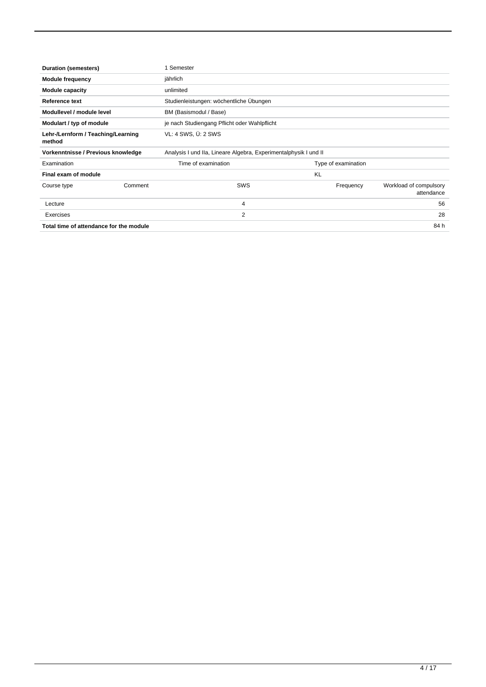| <b>Duration (semesters)</b>                  |                                                                  | 1 Semester                                   |           |                     |                                      |
|----------------------------------------------|------------------------------------------------------------------|----------------------------------------------|-----------|---------------------|--------------------------------------|
| <b>Module frequency</b><br>jährlich          |                                                                  |                                              |           |                     |                                      |
| <b>Module capacity</b>                       |                                                                  | unlimited                                    |           |                     |                                      |
| Reference text                               |                                                                  | Studienleistungen: wöchentliche Übungen      |           |                     |                                      |
| Modullevel / module level                    |                                                                  | BM (Basismodul / Base)                       |           |                     |                                      |
| Modulart / typ of module                     |                                                                  | je nach Studiengang Pflicht oder Wahlpflicht |           |                     |                                      |
| Lehr-/Lernform / Teaching/Learning<br>method |                                                                  | VL: 4 SWS, U: 2 SWS                          |           |                     |                                      |
| Vorkenntnisse / Previous knowledge           | Analysis I und IIa, Lineare Algebra, Experimentalphysik I und II |                                              |           |                     |                                      |
| Examination                                  |                                                                  | Time of examination                          |           | Type of examination |                                      |
| Final exam of module                         |                                                                  |                                              | <b>KL</b> |                     |                                      |
| Course type                                  | Comment                                                          | <b>SWS</b>                                   |           | Frequency           | Workload of compulsory<br>attendance |
| Lecture                                      |                                                                  | 4                                            |           |                     | 56                                   |
| Exercises                                    |                                                                  | 2                                            |           |                     | 28                                   |
| Total time of attendance for the module      |                                                                  |                                              |           |                     | 84 h                                 |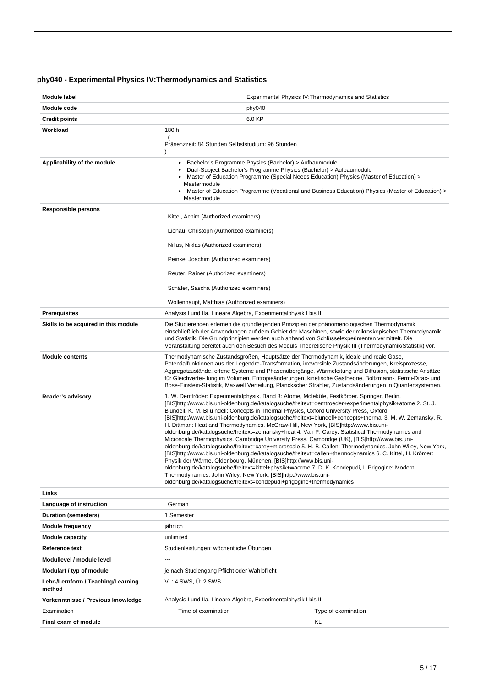# <span id="page-4-0"></span>**phy040 - Experimental Physics IV:Thermodynamics and Statistics**

| Module label                                 | Experimental Physics IV: Thermodynamics and Statistics                                                                                                                                                                                                                                                                                                                                                                                                                                                                                                                                                                                                                                                                                                                                                                                                                                                                                                                                                                                                                                                                                                                                                                                                        |
|----------------------------------------------|---------------------------------------------------------------------------------------------------------------------------------------------------------------------------------------------------------------------------------------------------------------------------------------------------------------------------------------------------------------------------------------------------------------------------------------------------------------------------------------------------------------------------------------------------------------------------------------------------------------------------------------------------------------------------------------------------------------------------------------------------------------------------------------------------------------------------------------------------------------------------------------------------------------------------------------------------------------------------------------------------------------------------------------------------------------------------------------------------------------------------------------------------------------------------------------------------------------------------------------------------------------|
| Module code                                  | phy040                                                                                                                                                                                                                                                                                                                                                                                                                                                                                                                                                                                                                                                                                                                                                                                                                                                                                                                                                                                                                                                                                                                                                                                                                                                        |
| <b>Credit points</b>                         | 6.0 KP                                                                                                                                                                                                                                                                                                                                                                                                                                                                                                                                                                                                                                                                                                                                                                                                                                                                                                                                                                                                                                                                                                                                                                                                                                                        |
| Workload                                     | 180 h                                                                                                                                                                                                                                                                                                                                                                                                                                                                                                                                                                                                                                                                                                                                                                                                                                                                                                                                                                                                                                                                                                                                                                                                                                                         |
|                                              | Präsenzzeit: 84 Stunden Selbststudium: 96 Stunden                                                                                                                                                                                                                                                                                                                                                                                                                                                                                                                                                                                                                                                                                                                                                                                                                                                                                                                                                                                                                                                                                                                                                                                                             |
| Applicability of the module                  | Bachelor's Programme Physics (Bachelor) > Aufbaumodule<br>٠<br>Dual-Subject Bachelor's Programme Physics (Bachelor) > Aufbaumodule<br>Master of Education Programme (Special Needs Education) Physics (Master of Education) ><br>$\bullet$<br>Mastermodule<br>Master of Education Programme (Vocational and Business Education) Physics (Master of Education) ><br>Mastermodule                                                                                                                                                                                                                                                                                                                                                                                                                                                                                                                                                                                                                                                                                                                                                                                                                                                                               |
| <b>Responsible persons</b>                   | Kittel, Achim (Authorized examiners)                                                                                                                                                                                                                                                                                                                                                                                                                                                                                                                                                                                                                                                                                                                                                                                                                                                                                                                                                                                                                                                                                                                                                                                                                          |
|                                              | Lienau, Christoph (Authorized examiners)                                                                                                                                                                                                                                                                                                                                                                                                                                                                                                                                                                                                                                                                                                                                                                                                                                                                                                                                                                                                                                                                                                                                                                                                                      |
|                                              | Nilius, Niklas (Authorized examiners)                                                                                                                                                                                                                                                                                                                                                                                                                                                                                                                                                                                                                                                                                                                                                                                                                                                                                                                                                                                                                                                                                                                                                                                                                         |
|                                              | Peinke, Joachim (Authorized examiners)                                                                                                                                                                                                                                                                                                                                                                                                                                                                                                                                                                                                                                                                                                                                                                                                                                                                                                                                                                                                                                                                                                                                                                                                                        |
|                                              | Reuter, Rainer (Authorized examiners)                                                                                                                                                                                                                                                                                                                                                                                                                                                                                                                                                                                                                                                                                                                                                                                                                                                                                                                                                                                                                                                                                                                                                                                                                         |
|                                              | Schäfer, Sascha (Authorized examiners)                                                                                                                                                                                                                                                                                                                                                                                                                                                                                                                                                                                                                                                                                                                                                                                                                                                                                                                                                                                                                                                                                                                                                                                                                        |
|                                              | Wollenhaupt, Matthias (Authorized examiners)                                                                                                                                                                                                                                                                                                                                                                                                                                                                                                                                                                                                                                                                                                                                                                                                                                                                                                                                                                                                                                                                                                                                                                                                                  |
| <b>Prerequisites</b>                         | Analysis I und IIa, Lineare Algebra, Experimentalphysik I bis III                                                                                                                                                                                                                                                                                                                                                                                                                                                                                                                                                                                                                                                                                                                                                                                                                                                                                                                                                                                                                                                                                                                                                                                             |
| Skills to be acquired in this module         | Die Studierenden erlernen die grundlegenden Prinzipien der phänomenologischen Thermodynamik<br>einschließlich der Anwendungen auf dem Gebiet der Maschinen, sowie der mikroskopischen Thermodynamik<br>und Statistik. Die Grundprinzipien werden auch anhand von Schlüsselexperimenten vermittelt. Die<br>Veranstaltung bereitet auch den Besuch des Moduls Theoretische Physik III (Thermodynamik/Statistik) vor.                                                                                                                                                                                                                                                                                                                                                                                                                                                                                                                                                                                                                                                                                                                                                                                                                                            |
| <b>Module contents</b>                       | Thermodynamische Zustandsgrößen, Hauptsätze der Thermodynamik, ideale und reale Gase,<br>Potentialfunktionen aus der Legendre-Transformation, irreversible Zustandsänderungen, Kreisprozesse,<br>Aggregatzustände, offene Systeme und Phasenübergänge, Wärmeleitung und Diffusion, statistische Ansätze<br>für Gleichvertei- lung im Volumen, Entropieänderungen, kinetische Gastheorie, Boltzmann-, Fermi-Dirac- und<br>Bose-Einstein-Statistik, Maxwell Verteilung, Planckscher Strahler, Zustandsänderungen in Quantensystemen.                                                                                                                                                                                                                                                                                                                                                                                                                                                                                                                                                                                                                                                                                                                            |
| Reader's advisory                            | 1. W. Demtröder: Experimentalphysik, Band 3: Atome, Moleküle, Festkörper. Springer, Berlin,<br>[BIS]http://www.bis.uni-oldenburg.de/katalogsuche/freitext=demtroeder+experimentalphysik+atome 2. St. J.<br>Blundell, K. M. Bl u ndell: Concepts in Thermal Physics, Oxford University Press, Oxford,<br>[BIS]http://www.bis.uni-oldenburg.de/katalogsuche/freitext=blundell+concepts+thermal 3. M. W. Zemansky, R.<br>H. Dittman: Heat and Thermodynamics. McGraw-Hill, New York, [BIS]http://www.bis.uni-<br>oldenburg.de/katalogsuche/freitext=zemansky+heat 4. Van P. Carey: Statistical Thermodynamics and<br>Microscale Thermophysics. Cambridge University Press, Cambridge (UK), [BIS]http://www.bis.uni-<br>oldenburg.de/katalogsuche/freitext=carey+microscale 5. H. B. Callen: Thermodynamics. John Wiley, New York,<br>[BIS]http://www.bis.uni-oldenburg.de/katalogsuche/freitext=callen+thermodynamics 6. C. Kittel, H. Krömer:<br>Physik der Wärme. Oldenbourg, München, [BIS]http://www.bis.uni-<br>oldenburg.de/katalogsuche/freitext=kittel+physik+waerme 7. D. K. Kondepudi, I. Prigogine: Modern<br>Thermodynamics. John Wiley, New York, [BIS]http://www.bis.uni-<br>oldenburg.de/katalogsuche/freitext=kondepudi+prigogine+thermodynamics |
| Links                                        |                                                                                                                                                                                                                                                                                                                                                                                                                                                                                                                                                                                                                                                                                                                                                                                                                                                                                                                                                                                                                                                                                                                                                                                                                                                               |
| Language of instruction                      | German                                                                                                                                                                                                                                                                                                                                                                                                                                                                                                                                                                                                                                                                                                                                                                                                                                                                                                                                                                                                                                                                                                                                                                                                                                                        |
| <b>Duration (semesters)</b>                  | 1 Semester                                                                                                                                                                                                                                                                                                                                                                                                                                                                                                                                                                                                                                                                                                                                                                                                                                                                                                                                                                                                                                                                                                                                                                                                                                                    |
| <b>Module frequency</b>                      | jährlich                                                                                                                                                                                                                                                                                                                                                                                                                                                                                                                                                                                                                                                                                                                                                                                                                                                                                                                                                                                                                                                                                                                                                                                                                                                      |
| <b>Module capacity</b>                       | unlimited                                                                                                                                                                                                                                                                                                                                                                                                                                                                                                                                                                                                                                                                                                                                                                                                                                                                                                                                                                                                                                                                                                                                                                                                                                                     |
| Reference text                               | Studienleistungen: wöchentliche Ubungen                                                                                                                                                                                                                                                                                                                                                                                                                                                                                                                                                                                                                                                                                                                                                                                                                                                                                                                                                                                                                                                                                                                                                                                                                       |
| Modullevel / module level                    | $-$                                                                                                                                                                                                                                                                                                                                                                                                                                                                                                                                                                                                                                                                                                                                                                                                                                                                                                                                                                                                                                                                                                                                                                                                                                                           |
| Modulart / typ of module                     | je nach Studiengang Pflicht oder Wahlpflicht                                                                                                                                                                                                                                                                                                                                                                                                                                                                                                                                                                                                                                                                                                                                                                                                                                                                                                                                                                                                                                                                                                                                                                                                                  |
| Lehr-/Lernform / Teaching/Learning<br>method | VL: 4 SWS, U: 2 SWS                                                                                                                                                                                                                                                                                                                                                                                                                                                                                                                                                                                                                                                                                                                                                                                                                                                                                                                                                                                                                                                                                                                                                                                                                                           |
| Vorkenntnisse / Previous knowledge           | Analysis I und IIa, Lineare Algebra, Experimentalphysik I bis III                                                                                                                                                                                                                                                                                                                                                                                                                                                                                                                                                                                                                                                                                                                                                                                                                                                                                                                                                                                                                                                                                                                                                                                             |
| Examination                                  | Time of examination<br>Type of examination                                                                                                                                                                                                                                                                                                                                                                                                                                                                                                                                                                                                                                                                                                                                                                                                                                                                                                                                                                                                                                                                                                                                                                                                                    |
| Final exam of module                         | KL                                                                                                                                                                                                                                                                                                                                                                                                                                                                                                                                                                                                                                                                                                                                                                                                                                                                                                                                                                                                                                                                                                                                                                                                                                                            |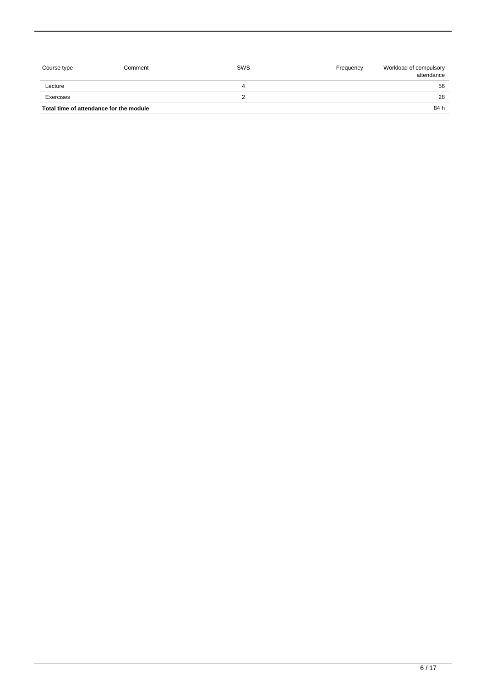| Course type                             | Comment | SWS | Frequency | Workload of compulsory<br>attendance |
|-----------------------------------------|---------|-----|-----------|--------------------------------------|
| Lecture                                 |         |     |           | 56                                   |
| Exercises                               |         |     |           | 28                                   |
| Total time of attendance for the module |         |     |           | 84 h                                 |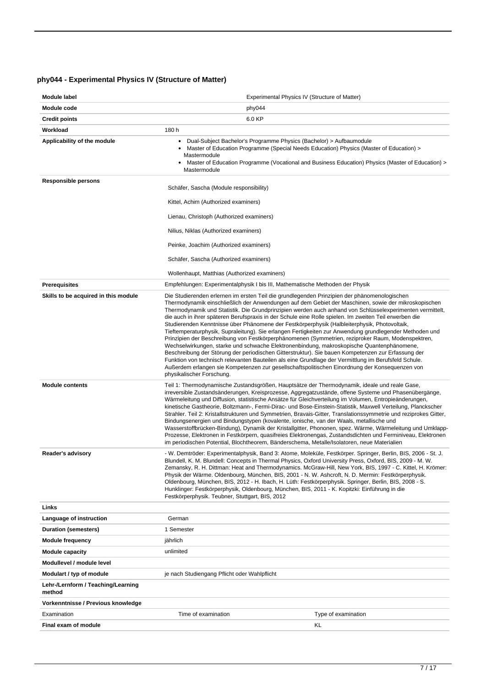# <span id="page-6-0"></span>**phy044 - Experimental Physics IV (Structure of Matter)**

| Module label                                 | Experimental Physics IV (Structure of Matter)                                                                                                                                                                                                                                                                                                                                                                                                                                                                                                                                                                                                                                                                                                                                                                                                                                                                                                                                                                                                                                                                                                                                         |  |  |
|----------------------------------------------|---------------------------------------------------------------------------------------------------------------------------------------------------------------------------------------------------------------------------------------------------------------------------------------------------------------------------------------------------------------------------------------------------------------------------------------------------------------------------------------------------------------------------------------------------------------------------------------------------------------------------------------------------------------------------------------------------------------------------------------------------------------------------------------------------------------------------------------------------------------------------------------------------------------------------------------------------------------------------------------------------------------------------------------------------------------------------------------------------------------------------------------------------------------------------------------|--|--|
| Module code                                  | phy044                                                                                                                                                                                                                                                                                                                                                                                                                                                                                                                                                                                                                                                                                                                                                                                                                                                                                                                                                                                                                                                                                                                                                                                |  |  |
| <b>Credit points</b>                         | 6.0 KP                                                                                                                                                                                                                                                                                                                                                                                                                                                                                                                                                                                                                                                                                                                                                                                                                                                                                                                                                                                                                                                                                                                                                                                |  |  |
| Workload                                     | 180 h                                                                                                                                                                                                                                                                                                                                                                                                                                                                                                                                                                                                                                                                                                                                                                                                                                                                                                                                                                                                                                                                                                                                                                                 |  |  |
| Applicability of the module                  | Dual-Subject Bachelor's Programme Physics (Bachelor) > Aufbaumodule<br>٠<br>Master of Education Programme (Special Needs Education) Physics (Master of Education) ><br>Mastermodule<br>Master of Education Programme (Vocational and Business Education) Physics (Master of Education) ><br>Mastermodule                                                                                                                                                                                                                                                                                                                                                                                                                                                                                                                                                                                                                                                                                                                                                                                                                                                                              |  |  |
| <b>Responsible persons</b>                   | Schäfer, Sascha (Module responsibility)                                                                                                                                                                                                                                                                                                                                                                                                                                                                                                                                                                                                                                                                                                                                                                                                                                                                                                                                                                                                                                                                                                                                               |  |  |
|                                              | Kittel, Achim (Authorized examiners)                                                                                                                                                                                                                                                                                                                                                                                                                                                                                                                                                                                                                                                                                                                                                                                                                                                                                                                                                                                                                                                                                                                                                  |  |  |
|                                              | Lienau, Christoph (Authorized examiners)                                                                                                                                                                                                                                                                                                                                                                                                                                                                                                                                                                                                                                                                                                                                                                                                                                                                                                                                                                                                                                                                                                                                              |  |  |
|                                              | Nilius, Niklas (Authorized examiners)                                                                                                                                                                                                                                                                                                                                                                                                                                                                                                                                                                                                                                                                                                                                                                                                                                                                                                                                                                                                                                                                                                                                                 |  |  |
|                                              | Peinke, Joachim (Authorized examiners)                                                                                                                                                                                                                                                                                                                                                                                                                                                                                                                                                                                                                                                                                                                                                                                                                                                                                                                                                                                                                                                                                                                                                |  |  |
|                                              | Schäfer, Sascha (Authorized examiners)                                                                                                                                                                                                                                                                                                                                                                                                                                                                                                                                                                                                                                                                                                                                                                                                                                                                                                                                                                                                                                                                                                                                                |  |  |
|                                              | Wollenhaupt, Matthias (Authorized examiners)                                                                                                                                                                                                                                                                                                                                                                                                                                                                                                                                                                                                                                                                                                                                                                                                                                                                                                                                                                                                                                                                                                                                          |  |  |
| <b>Prerequisites</b>                         | Empfehlungen: Experimentalphysik I bis III, Mathematische Methoden der Physik                                                                                                                                                                                                                                                                                                                                                                                                                                                                                                                                                                                                                                                                                                                                                                                                                                                                                                                                                                                                                                                                                                         |  |  |
| Skills to be acquired in this module         | Die Studierenden erlernen im ersten Teil die grundlegenden Prinzipien der phänomenologischen<br>Thermodynamik einschließlich der Anwendungen auf dem Gebiet der Maschinen, sowie der mikroskopischen<br>Thermodynamik und Statistik. Die Grundprinzipien werden auch anhand von Schlüsselexperimenten vermittelt,<br>die auch in ihrer späteren Berufspraxis in der Schule eine Rolle spielen. Im zweiten Teil erwerben die<br>Studierenden Kenntnisse über Phänomene der Festkörperphysik (Halbleiterphysik, Photovoltaik,<br>Tieftemperaturphysik, Supraleitung). Sie erlangen Fertigkeiten zur Anwendung grundlegender Methoden und<br>Prinzipien der Beschreibung von Festkörperphänomenen (Symmetrien, reziproker Raum, Modenspektren,<br>Wechselwirkungen, starke und schwache Elektronenbindung, makroskopische Quantenphänomene,<br>Beschreibung der Störung der periodischen Gitterstruktur). Sie bauen Kompetenzen zur Erfassung der<br>Funktion von technisch relevanten Bauteilen als eine Grundlage der Vermittlung im Berufsfeld Schule.<br>Außerdem erlangen sie Kompetenzen zur gesellschaftspolitischen Einordnung der Konsequenzen von<br>physikalischer Forschung. |  |  |
| <b>Module contents</b>                       | Teil 1: Thermodynamische Zustandsgrößen, Hauptsätze der Thermodynamik, ideale und reale Gase,<br>irreversible Zustandsänderungen, Kreisprozesse, Aggregatzustände, offene Systeme und Phasenübergänge,<br>Wärmeleitung und Diffusion, statistische Ansätze für Gleichverteilung im Volumen, Entropieänderungen,<br>kinetische Gastheorie, Boltzmann-, Fermi-Dirac- und Bose-Einstein-Statistik, Maxwell Verteilung, Planckscher<br>Strahler. Teil 2: Kristallstrukturen und Symmetrien, Bravais-Gitter, Translationssymmetrie und reziprokes Gitter,<br>Bindungsenergien und Bindungstypen (kovalente, ionische, van der Waals, metallische und<br>Wasserstoffbrücken-Bindung), Dynamik der Kristallgitter, Phononen, spez. Wärme, Wärmeleitung und Umklapp-<br>Prozesse, Elektronen in Festkörpern, quasifreies Elektronengas, Zustandsdichten und Ferminiveau, Elektronen<br>im periodischen Potential, Blochtheorem, Bänderschema, Metalle/Isolatoren, neue Materialien                                                                                                                                                                                                            |  |  |
| Reader's advisory                            | - W. Demtröder: Experimentalphysik, Band 3: Atome, Moleküle, Festkörper. Springer, Berlin, BIS, 2006 - St. J.<br>Blundell, K. M. Blundell: Concepts in Thermal Physics, Oxford University Press, Oxford, BIS, 2009 - M. W.<br>Zemansky, R. H. Dittman: Heat and Thermodynamics. McGraw-Hill, New York, BIS, 1997 - C. Kittel, H. Krömer:<br>Physik der Wärme. Oldenbourg, München, BIS, 2001 - N. W. Ashcroft, N. D. Mermin: Festkörperphysik.<br>Oldenbourg, München, BIS, 2012 - H. Ibach, H. Lüth: Festkörperphysik. Springer, Berlin, BIS, 2008 - S.<br>Hunklinger: Festkörperphysik, Oldenbourg, München, BIS, 2011 - K. Kopitzki: Einführung in die<br>Festkörperphysik. Teubner, Stuttgart, BIS, 2012                                                                                                                                                                                                                                                                                                                                                                                                                                                                          |  |  |
| Links                                        |                                                                                                                                                                                                                                                                                                                                                                                                                                                                                                                                                                                                                                                                                                                                                                                                                                                                                                                                                                                                                                                                                                                                                                                       |  |  |
| Language of instruction                      | German                                                                                                                                                                                                                                                                                                                                                                                                                                                                                                                                                                                                                                                                                                                                                                                                                                                                                                                                                                                                                                                                                                                                                                                |  |  |
| Duration (semesters)                         | 1 Semester                                                                                                                                                                                                                                                                                                                                                                                                                                                                                                                                                                                                                                                                                                                                                                                                                                                                                                                                                                                                                                                                                                                                                                            |  |  |
| <b>Module frequency</b>                      | jährlich                                                                                                                                                                                                                                                                                                                                                                                                                                                                                                                                                                                                                                                                                                                                                                                                                                                                                                                                                                                                                                                                                                                                                                              |  |  |
| <b>Module capacity</b>                       | unlimited                                                                                                                                                                                                                                                                                                                                                                                                                                                                                                                                                                                                                                                                                                                                                                                                                                                                                                                                                                                                                                                                                                                                                                             |  |  |
| Modullevel / module level                    |                                                                                                                                                                                                                                                                                                                                                                                                                                                                                                                                                                                                                                                                                                                                                                                                                                                                                                                                                                                                                                                                                                                                                                                       |  |  |
| Modulart / typ of module                     | je nach Studiengang Pflicht oder Wahlpflicht                                                                                                                                                                                                                                                                                                                                                                                                                                                                                                                                                                                                                                                                                                                                                                                                                                                                                                                                                                                                                                                                                                                                          |  |  |
| Lehr-/Lernform / Teaching/Learning<br>method |                                                                                                                                                                                                                                                                                                                                                                                                                                                                                                                                                                                                                                                                                                                                                                                                                                                                                                                                                                                                                                                                                                                                                                                       |  |  |
| Vorkenntnisse / Previous knowledge           |                                                                                                                                                                                                                                                                                                                                                                                                                                                                                                                                                                                                                                                                                                                                                                                                                                                                                                                                                                                                                                                                                                                                                                                       |  |  |
| Examination                                  | Time of examination<br>Type of examination                                                                                                                                                                                                                                                                                                                                                                                                                                                                                                                                                                                                                                                                                                                                                                                                                                                                                                                                                                                                                                                                                                                                            |  |  |
| Final exam of module                         | KL                                                                                                                                                                                                                                                                                                                                                                                                                                                                                                                                                                                                                                                                                                                                                                                                                                                                                                                                                                                                                                                                                                                                                                                    |  |  |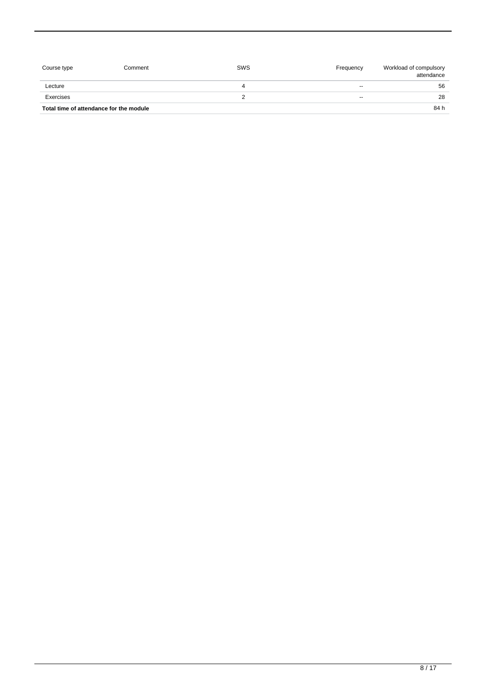| Course type                             | Comment | SWS | Frequency | Workload of compulsory<br>attendance |
|-----------------------------------------|---------|-----|-----------|--------------------------------------|
| Lecture                                 |         | 4   | $- -$     | 56                                   |
| Exercises                               |         |     | $- -$     | 28                                   |
| Total time of attendance for the module |         |     |           | 84 h                                 |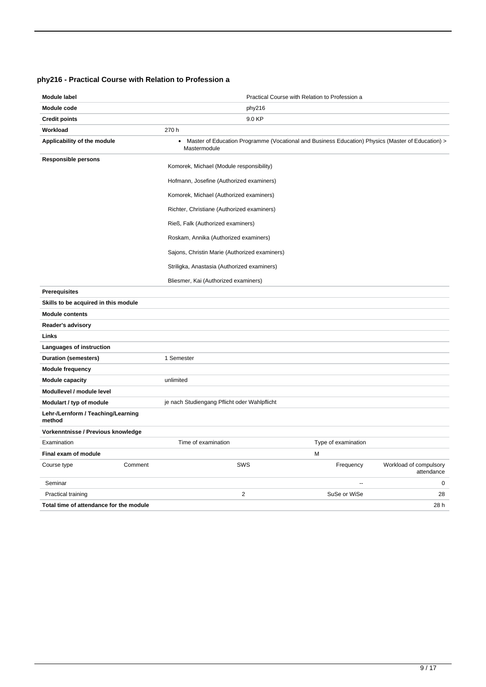### <span id="page-8-0"></span>**phy216 - Practical Course with Relation to Profession a**

| <b>Module label</b>                          |         | Practical Course with Relation to Profession a                                                                                 |                          |                                      |  |
|----------------------------------------------|---------|--------------------------------------------------------------------------------------------------------------------------------|--------------------------|--------------------------------------|--|
| Module code                                  |         | phy216                                                                                                                         |                          |                                      |  |
| <b>Credit points</b>                         |         | 9.0 KP                                                                                                                         |                          |                                      |  |
| Workload                                     |         | 270 h                                                                                                                          |                          |                                      |  |
| Applicability of the module                  |         | Master of Education Programme (Vocational and Business Education) Physics (Master of Education) ><br>$\bullet$<br>Mastermodule |                          |                                      |  |
| <b>Responsible persons</b>                   |         | Komorek, Michael (Module responsibility)                                                                                       |                          |                                      |  |
|                                              |         | Hofmann, Josefine (Authorized examiners)                                                                                       |                          |                                      |  |
|                                              |         | Komorek, Michael (Authorized examiners)                                                                                        |                          |                                      |  |
|                                              |         | Richter, Christiane (Authorized examiners)                                                                                     |                          |                                      |  |
|                                              |         | Rieß, Falk (Authorized examiners)                                                                                              |                          |                                      |  |
|                                              |         | Roskam, Annika (Authorized examiners)                                                                                          |                          |                                      |  |
|                                              |         | Sajons, Christin Marie (Authorized examiners)                                                                                  |                          |                                      |  |
|                                              |         | Striligka, Anastasia (Authorized examiners)                                                                                    |                          |                                      |  |
|                                              |         | Bliesmer, Kai (Authorized examiners)                                                                                           |                          |                                      |  |
| <b>Prerequisites</b>                         |         |                                                                                                                                |                          |                                      |  |
| Skills to be acquired in this module         |         |                                                                                                                                |                          |                                      |  |
| <b>Module contents</b>                       |         |                                                                                                                                |                          |                                      |  |
| Reader's advisory                            |         |                                                                                                                                |                          |                                      |  |
| Links                                        |         |                                                                                                                                |                          |                                      |  |
| Languages of instruction                     |         |                                                                                                                                |                          |                                      |  |
| <b>Duration (semesters)</b>                  |         | 1 Semester                                                                                                                     |                          |                                      |  |
| <b>Module frequency</b>                      |         |                                                                                                                                |                          |                                      |  |
| <b>Module capacity</b>                       |         | unlimited                                                                                                                      |                          |                                      |  |
| Modullevel / module level                    |         |                                                                                                                                |                          |                                      |  |
| Modulart / typ of module                     |         | je nach Studiengang Pflicht oder Wahlpflicht                                                                                   |                          |                                      |  |
| Lehr-/Lernform / Teaching/Learning<br>method |         |                                                                                                                                |                          |                                      |  |
| Vorkenntnisse / Previous knowledge           |         |                                                                                                                                |                          |                                      |  |
| Examination                                  |         | Time of examination                                                                                                            | Type of examination      |                                      |  |
| Final exam of module                         |         |                                                                                                                                | M                        |                                      |  |
| Course type                                  | Comment | SWS                                                                                                                            | Frequency                | Workload of compulsory<br>attendance |  |
| Seminar                                      |         |                                                                                                                                | $\overline{\phantom{a}}$ | 0                                    |  |
| Practical training                           |         | $\overline{2}$                                                                                                                 | SuSe or WiSe             | 28                                   |  |
| Total time of attendance for the module      |         |                                                                                                                                |                          | 28h                                  |  |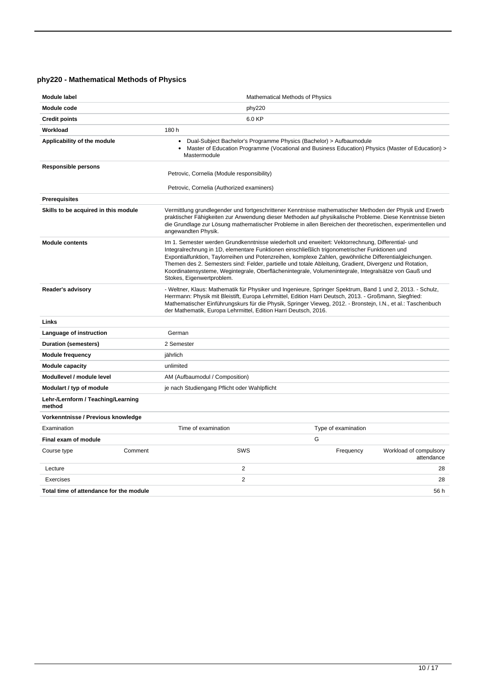# <span id="page-9-0"></span>**phy220 - Mathematical Methods of Physics**

| <b>Module label</b>                          | Mathematical Methods of Physics                                                                                                                                                                                                                                                                                                                                                                                                                                                                                                                               |                                                                                                                                                                                                                                                                                                                                      |  |  |
|----------------------------------------------|---------------------------------------------------------------------------------------------------------------------------------------------------------------------------------------------------------------------------------------------------------------------------------------------------------------------------------------------------------------------------------------------------------------------------------------------------------------------------------------------------------------------------------------------------------------|--------------------------------------------------------------------------------------------------------------------------------------------------------------------------------------------------------------------------------------------------------------------------------------------------------------------------------------|--|--|
| <b>Module code</b>                           | phy220                                                                                                                                                                                                                                                                                                                                                                                                                                                                                                                                                        |                                                                                                                                                                                                                                                                                                                                      |  |  |
| <b>Credit points</b>                         | 6.0 KP                                                                                                                                                                                                                                                                                                                                                                                                                                                                                                                                                        |                                                                                                                                                                                                                                                                                                                                      |  |  |
| Workload                                     | 180 h                                                                                                                                                                                                                                                                                                                                                                                                                                                                                                                                                         |                                                                                                                                                                                                                                                                                                                                      |  |  |
| Applicability of the module                  | Dual-Subject Bachelor's Programme Physics (Bachelor) > Aufbaumodule<br>$\bullet$<br>Master of Education Programme (Vocational and Business Education) Physics (Master of Education) ><br>$\bullet$<br>Mastermodule                                                                                                                                                                                                                                                                                                                                            |                                                                                                                                                                                                                                                                                                                                      |  |  |
| <b>Responsible persons</b>                   | Petrovic, Cornelia (Module responsibility)                                                                                                                                                                                                                                                                                                                                                                                                                                                                                                                    |                                                                                                                                                                                                                                                                                                                                      |  |  |
|                                              | Petrovic, Cornelia (Authorized examiners)                                                                                                                                                                                                                                                                                                                                                                                                                                                                                                                     |                                                                                                                                                                                                                                                                                                                                      |  |  |
| <b>Prerequisites</b>                         |                                                                                                                                                                                                                                                                                                                                                                                                                                                                                                                                                               |                                                                                                                                                                                                                                                                                                                                      |  |  |
| Skills to be acquired in this module         | angewandten Physik.                                                                                                                                                                                                                                                                                                                                                                                                                                                                                                                                           | Vermittlung grundlegender und fortgeschrittener Kenntnisse mathematischer Methoden der Physik und Erwerb<br>praktischer Fähigkeiten zur Anwendung dieser Methoden auf physikalische Probleme. Diese Kenntnisse bieten<br>die Grundlage zur Lösung mathematischer Probleme in allen Bereichen der theoretischen, experimentellen und  |  |  |
| <b>Module contents</b>                       | Im 1. Semester werden Grundkenntnisse wiederholt und erweitert: Vektorrechnung, Differential- und<br>Integralrechnung in 1D, elementare Funktionen einschließlich trigonometrischer Funktionen und<br>Expontialfunktion, Taylorreihen und Potenzreihen, komplexe Zahlen, gewöhnliche Differentialgleichungen.<br>Themen des 2. Semesters sind: Felder, partielle und totale Ableitung, Gradient, Divergenz und Rotation,<br>Koordinatensysteme, Wegintegrale, Oberflächenintegrale, Volumenintegrale, Integralsätze von Gauß und<br>Stokes, Eigenwertproblem. |                                                                                                                                                                                                                                                                                                                                      |  |  |
| Reader's advisory                            | der Mathematik, Europa Lehrmittel, Edition Harri Deutsch, 2016.                                                                                                                                                                                                                                                                                                                                                                                                                                                                                               | - Weltner, Klaus: Mathematik für Physiker und Ingenieure, Springer Spektrum, Band 1 und 2, 2013. - Schulz,<br>Herrmann: Physik mit Bleistift, Europa Lehrmittel, Edition Harri Deutsch, 2013. - Großmann, Siegfried:<br>Mathematischer Einführungskurs für die Physik, Springer Vieweg, 2012. - Bronstein, I.N., et al.: Taschenbuch |  |  |
| Links                                        |                                                                                                                                                                                                                                                                                                                                                                                                                                                                                                                                                               |                                                                                                                                                                                                                                                                                                                                      |  |  |
| Language of instruction                      | German                                                                                                                                                                                                                                                                                                                                                                                                                                                                                                                                                        |                                                                                                                                                                                                                                                                                                                                      |  |  |
| <b>Duration (semesters)</b>                  | 2 Semester                                                                                                                                                                                                                                                                                                                                                                                                                                                                                                                                                    |                                                                                                                                                                                                                                                                                                                                      |  |  |
| <b>Module frequency</b>                      | jährlich                                                                                                                                                                                                                                                                                                                                                                                                                                                                                                                                                      |                                                                                                                                                                                                                                                                                                                                      |  |  |
| <b>Module capacity</b>                       | unlimited                                                                                                                                                                                                                                                                                                                                                                                                                                                                                                                                                     |                                                                                                                                                                                                                                                                                                                                      |  |  |
| Modullevel / module level                    | AM (Aufbaumodul / Composition)                                                                                                                                                                                                                                                                                                                                                                                                                                                                                                                                |                                                                                                                                                                                                                                                                                                                                      |  |  |
| Modulart / typ of module                     | je nach Studiengang Pflicht oder Wahlpflicht                                                                                                                                                                                                                                                                                                                                                                                                                                                                                                                  |                                                                                                                                                                                                                                                                                                                                      |  |  |
| Lehr-/Lernform / Teaching/Learning<br>method |                                                                                                                                                                                                                                                                                                                                                                                                                                                                                                                                                               |                                                                                                                                                                                                                                                                                                                                      |  |  |
| Vorkenntnisse / Previous knowledge           |                                                                                                                                                                                                                                                                                                                                                                                                                                                                                                                                                               |                                                                                                                                                                                                                                                                                                                                      |  |  |
| Examination                                  | Time of examination                                                                                                                                                                                                                                                                                                                                                                                                                                                                                                                                           | Type of examination                                                                                                                                                                                                                                                                                                                  |  |  |
| Final exam of module                         |                                                                                                                                                                                                                                                                                                                                                                                                                                                                                                                                                               | G                                                                                                                                                                                                                                                                                                                                    |  |  |
| Comment<br>Course type                       | SWS                                                                                                                                                                                                                                                                                                                                                                                                                                                                                                                                                           | Frequency<br>Workload of compulsory<br>attendance                                                                                                                                                                                                                                                                                    |  |  |
| Lecture                                      | $\overline{2}$                                                                                                                                                                                                                                                                                                                                                                                                                                                                                                                                                | 28                                                                                                                                                                                                                                                                                                                                   |  |  |
| <b>Exercises</b>                             | $\overline{2}$                                                                                                                                                                                                                                                                                                                                                                                                                                                                                                                                                | 28                                                                                                                                                                                                                                                                                                                                   |  |  |
| Total time of attendance for the module      |                                                                                                                                                                                                                                                                                                                                                                                                                                                                                                                                                               | 56 h                                                                                                                                                                                                                                                                                                                                 |  |  |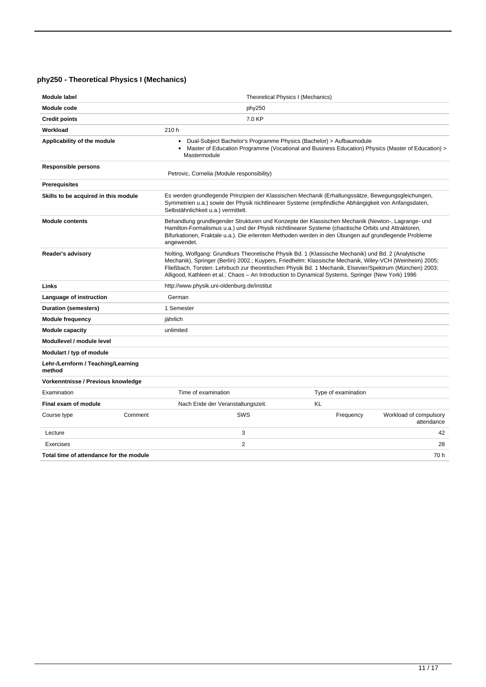# <span id="page-10-0"></span>**phy250 - Theoretical Physics I (Mechanics)**

| Module label                                 |           | Theoretical Physics I (Mechanics)                                                                                                                                                                                                                                                                                                                                                                                              |    |                     |                                      |
|----------------------------------------------|-----------|--------------------------------------------------------------------------------------------------------------------------------------------------------------------------------------------------------------------------------------------------------------------------------------------------------------------------------------------------------------------------------------------------------------------------------|----|---------------------|--------------------------------------|
| Module code                                  |           | phy250                                                                                                                                                                                                                                                                                                                                                                                                                         |    |                     |                                      |
| <b>Credit points</b>                         |           | 7.0 KP                                                                                                                                                                                                                                                                                                                                                                                                                         |    |                     |                                      |
| Workload                                     |           | 210 h                                                                                                                                                                                                                                                                                                                                                                                                                          |    |                     |                                      |
| Applicability of the module                  |           | Dual-Subject Bachelor's Programme Physics (Bachelor) > Aufbaumodule<br>$\bullet$<br>Master of Education Programme (Vocational and Business Education) Physics (Master of Education) ><br>$\bullet$<br>Mastermodule                                                                                                                                                                                                             |    |                     |                                      |
| <b>Responsible persons</b>                   |           | Petrovic, Cornelia (Module responsibility)                                                                                                                                                                                                                                                                                                                                                                                     |    |                     |                                      |
| <b>Prerequisites</b>                         |           |                                                                                                                                                                                                                                                                                                                                                                                                                                |    |                     |                                      |
| Skills to be acquired in this module         |           | Es werden grundlegende Prinzipien der Klassischen Mechanik (Erhaltungssätze, Bewegungsgleichungen,<br>Symmetrien u.a.) sowie der Physik nichtlinearer Systeme (empfindliche Abhängigkeit von Anfangsdaten,<br>Selbstähnlichkeit u.a.) vermittelt.                                                                                                                                                                              |    |                     |                                      |
| <b>Module contents</b>                       |           | Behandlung grundlegender Strukturen und Konzepte der Klassischen Mechanik (Newton-, Lagrange- und<br>Hamilton-Formalismus u.a.) und der Physik nichtlinearer Systeme (chaotische Orbits und Attraktoren,<br>Bifurkationen, Fraktale u.a.). Die erlernten Methoden werden in den Ubungen auf grundlegende Probleme<br>angewendet.                                                                                               |    |                     |                                      |
| Reader's advisory                            |           | Nolting, Wolfgang: Grundkurs Theoretische Physik Bd. 1 (Klassische Mechanik) und Bd. 2 (Analytische<br>Mechanik), Springer (Berlin) 2002.; Kuypers, Friedhelm: Klassische Mechanik, Wiley-VCH (Weinheim) 2005;<br>Fließbach, Torsten: Lehrbuch zur theoretischen Physik Bd. 1 Mechanik, Elsevier/Spektrum (München) 2003;<br>Alligood, Kathleen et al.: Chaos - An Introduction to Dynamical Systems, Springer (New York) 1996 |    |                     |                                      |
| Links                                        |           | http://www.physik.uni-oldenburg.de/institut                                                                                                                                                                                                                                                                                                                                                                                    |    |                     |                                      |
| Language of instruction                      |           | German                                                                                                                                                                                                                                                                                                                                                                                                                         |    |                     |                                      |
| Duration (semesters)                         |           | 1 Semester                                                                                                                                                                                                                                                                                                                                                                                                                     |    |                     |                                      |
| <b>Module frequency</b>                      | jährlich  |                                                                                                                                                                                                                                                                                                                                                                                                                                |    |                     |                                      |
| <b>Module capacity</b>                       | unlimited |                                                                                                                                                                                                                                                                                                                                                                                                                                |    |                     |                                      |
| Modullevel / module level                    |           |                                                                                                                                                                                                                                                                                                                                                                                                                                |    |                     |                                      |
| Modulart / typ of module                     |           |                                                                                                                                                                                                                                                                                                                                                                                                                                |    |                     |                                      |
| Lehr-/Lernform / Teaching/Learning<br>method |           |                                                                                                                                                                                                                                                                                                                                                                                                                                |    |                     |                                      |
| Vorkenntnisse / Previous knowledge           |           |                                                                                                                                                                                                                                                                                                                                                                                                                                |    |                     |                                      |
| Examination                                  |           | Time of examination                                                                                                                                                                                                                                                                                                                                                                                                            |    | Type of examination |                                      |
| Final exam of module                         |           | Nach Ende der Veranstaltungszeit.                                                                                                                                                                                                                                                                                                                                                                                              | KL |                     |                                      |
| Course type                                  | Comment   | SWS                                                                                                                                                                                                                                                                                                                                                                                                                            |    | Frequency           | Workload of compulsory<br>attendance |
| Lecture                                      |           | 3                                                                                                                                                                                                                                                                                                                                                                                                                              |    |                     | 42                                   |
| Exercises                                    |           | 2                                                                                                                                                                                                                                                                                                                                                                                                                              |    |                     | 28                                   |
| Total time of attendance for the module      |           |                                                                                                                                                                                                                                                                                                                                                                                                                                |    |                     | 70 h                                 |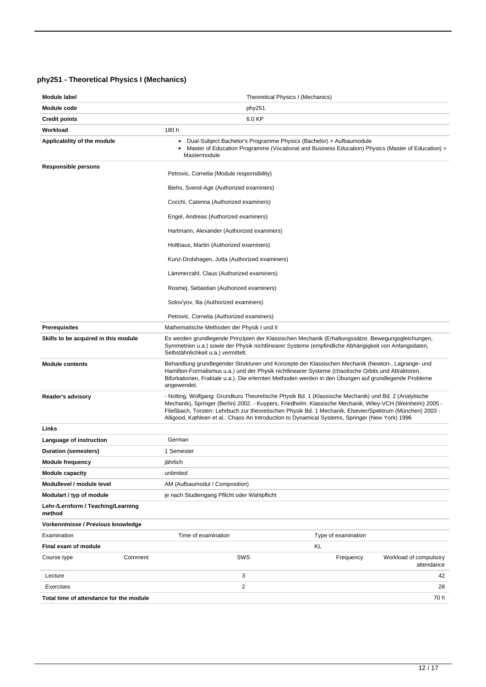# <span id="page-11-0"></span>**phy251 - Theoretical Physics I (Mechanics)**

| Module label                                 | Theoretical Physics I (Mechanics)                                                                                                                                                                                                                                                                                                                                                                                                 |                                                                                                   |
|----------------------------------------------|-----------------------------------------------------------------------------------------------------------------------------------------------------------------------------------------------------------------------------------------------------------------------------------------------------------------------------------------------------------------------------------------------------------------------------------|---------------------------------------------------------------------------------------------------|
| Module code                                  | phy251                                                                                                                                                                                                                                                                                                                                                                                                                            |                                                                                                   |
| <b>Credit points</b>                         | 6.0 KP                                                                                                                                                                                                                                                                                                                                                                                                                            |                                                                                                   |
| Workload                                     | 180 h                                                                                                                                                                                                                                                                                                                                                                                                                             |                                                                                                   |
| Applicability of the module                  | Dual-Subject Bachelor's Programme Physics (Bachelor) > Aufbaumodule<br>٠<br>Mastermodule                                                                                                                                                                                                                                                                                                                                          | Master of Education Programme (Vocational and Business Education) Physics (Master of Education) > |
| <b>Responsible persons</b>                   |                                                                                                                                                                                                                                                                                                                                                                                                                                   |                                                                                                   |
|                                              | Petrovic, Cornelia (Module responsibility)                                                                                                                                                                                                                                                                                                                                                                                        |                                                                                                   |
|                                              | Biehs, Svend-Age (Authorized examiners)                                                                                                                                                                                                                                                                                                                                                                                           |                                                                                                   |
|                                              | Cocchi, Caterina (Authorized examiners)                                                                                                                                                                                                                                                                                                                                                                                           |                                                                                                   |
|                                              | Engel, Andreas (Authorized examiners)                                                                                                                                                                                                                                                                                                                                                                                             |                                                                                                   |
|                                              | Hartmann, Alexander (Authorized examiners)                                                                                                                                                                                                                                                                                                                                                                                        |                                                                                                   |
|                                              | Holthaus, Martin (Authorized examiners)                                                                                                                                                                                                                                                                                                                                                                                           |                                                                                                   |
|                                              | Kunz-Drolshagen, Jutta (Authorized examiners)                                                                                                                                                                                                                                                                                                                                                                                     |                                                                                                   |
|                                              | Lämmerzahl, Claus (Authorized examiners)                                                                                                                                                                                                                                                                                                                                                                                          |                                                                                                   |
|                                              | Rosmej, Sebastian (Authorized examiners)                                                                                                                                                                                                                                                                                                                                                                                          |                                                                                                   |
|                                              | Solov'yov, Ilia (Authorized examiners)                                                                                                                                                                                                                                                                                                                                                                                            |                                                                                                   |
|                                              | Petrovic, Cornelia (Authorized examiners)                                                                                                                                                                                                                                                                                                                                                                                         |                                                                                                   |
| <b>Prerequisites</b>                         | Mathematische Methoden der Physik I und II                                                                                                                                                                                                                                                                                                                                                                                        |                                                                                                   |
| Skills to be acquired in this module         | Es werden grundlegende Prinzipien der Klassischen Mechanik (Erhaltungssätze, Bewegungsgleichungen,<br>Symmetrien u.a.) sowie der Physik nichtlinearer Systeme (empfindliche Abhängigkeit von Anfangsdaten,<br>Selbstähnlichkeit u.a.) vermittelt.                                                                                                                                                                                 |                                                                                                   |
| <b>Module contents</b>                       | Behandlung grundlegender Strukturen und Konzepte der Klassischen Mechanik (Newton-, Lagrange- und<br>Hamilton-Formalismus u.a.) und der Physik nichtlinearer Systeme (chaotische Orbits und Attraktoren,<br>Bifurkationen, Fraktale u.a.). Die erlernten Methoden werden in den Ubungen auf grundlegende Probleme<br>angewendet.                                                                                                  |                                                                                                   |
| Reader's advisory                            | - Nolting, Wolfgang: Grundkurs Theoretische Physik Bd. 1 (Klassische Mechanik) und Bd. 2 (Analytische<br>Mechanik), Springer (Berlin) 2002. - Kuypers, Friedhelm: Klassische Mechanik, Wiley-VCH (Weinheim) 2005 -<br>Fließbach, Torsten: Lehrbuch zur theoretischen Physik Bd. 1 Mechanik, Elsevier/Spektrum (München) 2003 -<br>Alligood, Kathleen et al.: Chaos An Introduction to Dynamical Systems, Springer (New York) 1996 |                                                                                                   |
| Links                                        |                                                                                                                                                                                                                                                                                                                                                                                                                                   |                                                                                                   |
| Language of instruction                      | German                                                                                                                                                                                                                                                                                                                                                                                                                            |                                                                                                   |
| Duration (semesters)                         | 1 Semester                                                                                                                                                                                                                                                                                                                                                                                                                        |                                                                                                   |
| <b>Module frequency</b>                      | jährlich                                                                                                                                                                                                                                                                                                                                                                                                                          |                                                                                                   |
| <b>Module capacity</b>                       | unlimited                                                                                                                                                                                                                                                                                                                                                                                                                         |                                                                                                   |
| Modullevel / module level                    | AM (Aufbaumodul / Composition)                                                                                                                                                                                                                                                                                                                                                                                                    |                                                                                                   |
| Modulart / typ of module                     | je nach Studiengang Pflicht oder Wahlpflicht                                                                                                                                                                                                                                                                                                                                                                                      |                                                                                                   |
| Lehr-/Lernform / Teaching/Learning<br>method |                                                                                                                                                                                                                                                                                                                                                                                                                                   |                                                                                                   |
| Vorkenntnisse / Previous knowledge           |                                                                                                                                                                                                                                                                                                                                                                                                                                   |                                                                                                   |
| Examination                                  | Time of examination                                                                                                                                                                                                                                                                                                                                                                                                               | Type of examination                                                                               |
| Final exam of module                         |                                                                                                                                                                                                                                                                                                                                                                                                                                   | KL                                                                                                |
| Comment<br>Course type                       | SWS                                                                                                                                                                                                                                                                                                                                                                                                                               | Workload of compulsory<br>Frequency<br>attendance                                                 |
| Lecture                                      | 3                                                                                                                                                                                                                                                                                                                                                                                                                                 | 42                                                                                                |
| Exercises                                    | 2                                                                                                                                                                                                                                                                                                                                                                                                                                 | 28                                                                                                |
| Total time of attendance for the module      |                                                                                                                                                                                                                                                                                                                                                                                                                                   | 70 h                                                                                              |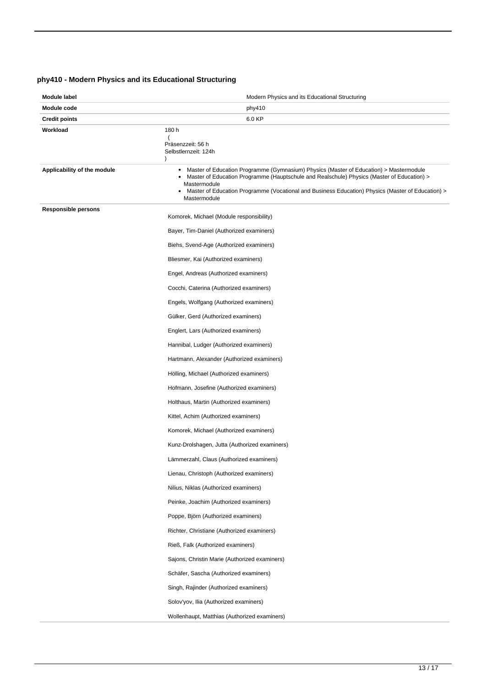# <span id="page-12-0"></span>**phy410 - Modern Physics and its Educational Structuring**

| Module label                | Modern Physics and its Educational Structuring                                                                                                                                                                                                                                                                                      |  |  |
|-----------------------------|-------------------------------------------------------------------------------------------------------------------------------------------------------------------------------------------------------------------------------------------------------------------------------------------------------------------------------------|--|--|
| Module code                 | phy410                                                                                                                                                                                                                                                                                                                              |  |  |
| <b>Credit points</b>        | 6.0 KP                                                                                                                                                                                                                                                                                                                              |  |  |
| Workload                    | 180 h<br>Präsenzzeit: 56 h<br>Selbstlernzeit: 124h<br>$\lambda$                                                                                                                                                                                                                                                                     |  |  |
| Applicability of the module | Master of Education Programme (Gymnasium) Physics (Master of Education) > Mastermodule<br>٠<br>Master of Education Programme (Hauptschule and Realschule) Physics (Master of Education) ><br>٠<br>Mastermodule<br>Master of Education Programme (Vocational and Business Education) Physics (Master of Education) ><br>Mastermodule |  |  |
| <b>Responsible persons</b>  | Komorek, Michael (Module responsibility)                                                                                                                                                                                                                                                                                            |  |  |
|                             | Bayer, Tim-Daniel (Authorized examiners)                                                                                                                                                                                                                                                                                            |  |  |
|                             | Biehs, Svend-Age (Authorized examiners)                                                                                                                                                                                                                                                                                             |  |  |
|                             | Bliesmer, Kai (Authorized examiners)                                                                                                                                                                                                                                                                                                |  |  |
|                             | Engel, Andreas (Authorized examiners)                                                                                                                                                                                                                                                                                               |  |  |
|                             | Cocchi, Caterina (Authorized examiners)                                                                                                                                                                                                                                                                                             |  |  |
|                             | Engels, Wolfgang (Authorized examiners)                                                                                                                                                                                                                                                                                             |  |  |
|                             | Gülker, Gerd (Authorized examiners)                                                                                                                                                                                                                                                                                                 |  |  |
|                             | Englert, Lars (Authorized examiners)                                                                                                                                                                                                                                                                                                |  |  |
|                             | Hannibal, Ludger (Authorized examiners)                                                                                                                                                                                                                                                                                             |  |  |
|                             | Hartmann, Alexander (Authorized examiners)                                                                                                                                                                                                                                                                                          |  |  |
|                             | Hölling, Michael (Authorized examiners)                                                                                                                                                                                                                                                                                             |  |  |
|                             | Hofmann, Josefine (Authorized examiners)                                                                                                                                                                                                                                                                                            |  |  |
|                             | Holthaus, Martin (Authorized examiners)                                                                                                                                                                                                                                                                                             |  |  |
|                             | Kittel, Achim (Authorized examiners)                                                                                                                                                                                                                                                                                                |  |  |
|                             | Komorek, Michael (Authorized examiners)                                                                                                                                                                                                                                                                                             |  |  |
|                             | Kunz-Drolshagen, Jutta (Authorized examiners)                                                                                                                                                                                                                                                                                       |  |  |
|                             | Lammerzahl, Claus (Authorized examiners)                                                                                                                                                                                                                                                                                            |  |  |
|                             | Lienau, Christoph (Authorized examiners)                                                                                                                                                                                                                                                                                            |  |  |
|                             | Nilius, Niklas (Authorized examiners)                                                                                                                                                                                                                                                                                               |  |  |
|                             | Peinke, Joachim (Authorized examiners)                                                                                                                                                                                                                                                                                              |  |  |
|                             | Poppe, Björn (Authorized examiners)                                                                                                                                                                                                                                                                                                 |  |  |
|                             | Richter, Christiane (Authorized examiners)                                                                                                                                                                                                                                                                                          |  |  |
|                             | Rieß, Falk (Authorized examiners)                                                                                                                                                                                                                                                                                                   |  |  |
|                             | Sajons, Christin Marie (Authorized examiners)                                                                                                                                                                                                                                                                                       |  |  |
|                             | Schäfer, Sascha (Authorized examiners)                                                                                                                                                                                                                                                                                              |  |  |
|                             | Singh, Rajinder (Authorized examiners)                                                                                                                                                                                                                                                                                              |  |  |
|                             | Solov'yov, Ilia (Authorized examiners)                                                                                                                                                                                                                                                                                              |  |  |
|                             | Wollenhaupt, Matthias (Authorized examiners)                                                                                                                                                                                                                                                                                        |  |  |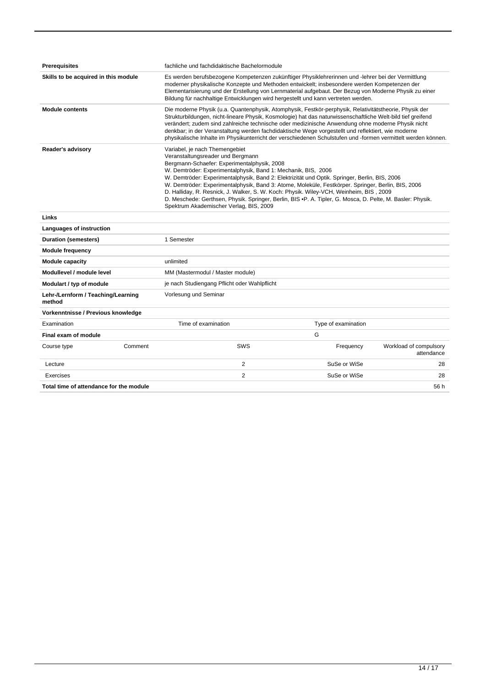| <b>Prerequisites</b>                         |         | fachliche und fachdidaktische Bachelormodule                                                                                                                                                                                                                                                                                                                                                                                                                                                                                                                                                                                                  |                     |                                      |
|----------------------------------------------|---------|-----------------------------------------------------------------------------------------------------------------------------------------------------------------------------------------------------------------------------------------------------------------------------------------------------------------------------------------------------------------------------------------------------------------------------------------------------------------------------------------------------------------------------------------------------------------------------------------------------------------------------------------------|---------------------|--------------------------------------|
| Skills to be acquired in this module         |         | Es werden berufsbezogene Kompetenzen zukünftiger Physiklehrerinnen und -lehrer bei der Vermittlung<br>moderner physikalische Konzepte und Methoden entwickelt; insbesondere werden Kompetenzen der<br>Elementarisierung und der Erstellung von Lernmaterial aufgebaut. Der Bezug von Moderne Physik zu einer<br>Bildung für nachhaltige Entwicklungen wird hergestellt und kann vertreten werden.                                                                                                                                                                                                                                             |                     |                                      |
| <b>Module contents</b>                       |         | Die moderne Physik (u.a. Quantenphysik, Atomphysik, Festkör-perphysik, Relativitätstheorie, Physik der<br>Strukturbildungen, nicht-lineare Physik, Kosmologie) hat das naturwissenschaftliche Welt-bild tief greifend<br>verändert; zudem sind zahlreiche technische oder medizinische Anwendung ohne moderne Physik nicht<br>denkbar; in der Veranstaltung werden fachdidaktische Wege vorgestellt und reflektiert, wie moderne<br>physikalische Inhalte im Physikunterricht der verschiedenen Schulstufen und -formen vermittelt werden können.                                                                                             |                     |                                      |
| Reader's advisory                            |         | Variabel, je nach Themengebiet<br>Veranstaltungsreader und Bergmann<br>Bergmann-Schaefer: Experimentalphysik, 2008<br>W. Demtröder: Experimentalphysik, Band 1: Mechanik, BIS, 2006<br>W. Demtröder: Experimentalphysik, Band 2: Elektrizität und Optik. Springer, Berlin, BIS, 2006<br>W. Demtröder: Experimentalphysik, Band 3: Atome, Moleküle, Festkörper. Springer, Berlin, BIS, 2006<br>D. Halliday, R. Resnick, J. Walker, S. W. Koch: Physik. Wiley-VCH, Weinheim, BIS, 2009<br>D. Meschede: Gerthsen, Physik. Springer, Berlin, BIS ·P. A. Tipler, G. Mosca, D. Pelte, M. Basler: Physik.<br>Spektrum Akademischer Verlag, BIS, 2009 |                     |                                      |
| Links                                        |         |                                                                                                                                                                                                                                                                                                                                                                                                                                                                                                                                                                                                                                               |                     |                                      |
| Languages of instruction                     |         |                                                                                                                                                                                                                                                                                                                                                                                                                                                                                                                                                                                                                                               |                     |                                      |
| <b>Duration (semesters)</b>                  |         | 1 Semester                                                                                                                                                                                                                                                                                                                                                                                                                                                                                                                                                                                                                                    |                     |                                      |
| <b>Module frequency</b>                      |         |                                                                                                                                                                                                                                                                                                                                                                                                                                                                                                                                                                                                                                               |                     |                                      |
| <b>Module capacity</b>                       |         | unlimited                                                                                                                                                                                                                                                                                                                                                                                                                                                                                                                                                                                                                                     |                     |                                      |
| Modullevel / module level                    |         | MM (Mastermodul / Master module)                                                                                                                                                                                                                                                                                                                                                                                                                                                                                                                                                                                                              |                     |                                      |
| Modulart / typ of module                     |         | je nach Studiengang Pflicht oder Wahlpflicht                                                                                                                                                                                                                                                                                                                                                                                                                                                                                                                                                                                                  |                     |                                      |
| Lehr-/Lernform / Teaching/Learning<br>method |         | Vorlesung und Seminar                                                                                                                                                                                                                                                                                                                                                                                                                                                                                                                                                                                                                         |                     |                                      |
| Vorkenntnisse / Previous knowledge           |         |                                                                                                                                                                                                                                                                                                                                                                                                                                                                                                                                                                                                                                               |                     |                                      |
| Examination                                  |         | Time of examination                                                                                                                                                                                                                                                                                                                                                                                                                                                                                                                                                                                                                           | Type of examination |                                      |
| Final exam of module                         |         |                                                                                                                                                                                                                                                                                                                                                                                                                                                                                                                                                                                                                                               | G                   |                                      |
| Course type                                  | Comment | SWS                                                                                                                                                                                                                                                                                                                                                                                                                                                                                                                                                                                                                                           | Frequency           | Workload of compulsory<br>attendance |
| Lecture                                      |         | 2                                                                                                                                                                                                                                                                                                                                                                                                                                                                                                                                                                                                                                             | SuSe or WiSe        | 28                                   |

| Total time of attendance for the module | 56 h |
|-----------------------------------------|------|
|                                         |      |
|                                         |      |
|                                         |      |
|                                         |      |

Exercises 28 November 28 November 28 November 28 November 28 November 28 November 28 November 28 November 28 November 28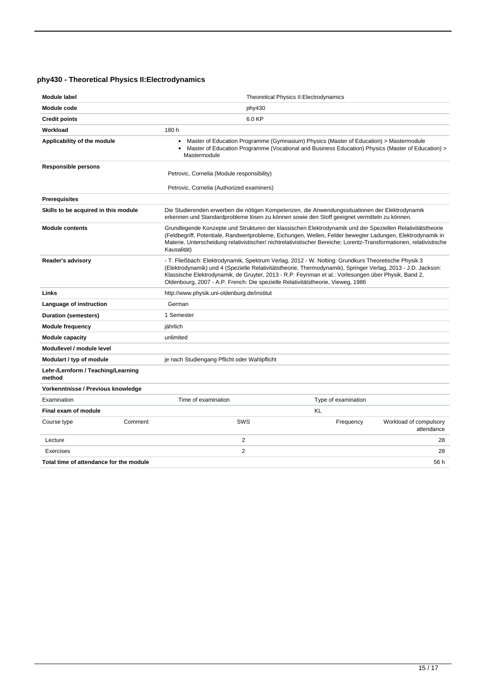# <span id="page-14-0"></span>**phy430 - Theoretical Physics II:Electrodynamics**

| <b>Module label</b>                          | Theoretical Physics II: Electrodynamics                                                                                                                                                                                                                                                                                                                                                                       |                                                   |  |  |
|----------------------------------------------|---------------------------------------------------------------------------------------------------------------------------------------------------------------------------------------------------------------------------------------------------------------------------------------------------------------------------------------------------------------------------------------------------------------|---------------------------------------------------|--|--|
| Module code                                  | phy430                                                                                                                                                                                                                                                                                                                                                                                                        |                                                   |  |  |
| <b>Credit points</b>                         | 6.0 KP                                                                                                                                                                                                                                                                                                                                                                                                        |                                                   |  |  |
| Workload                                     | 180 h                                                                                                                                                                                                                                                                                                                                                                                                         |                                                   |  |  |
| Applicability of the module                  | Master of Education Programme (Gymnasium) Physics (Master of Education) > Mastermodule<br>$\bullet$<br>Master of Education Programme (Vocational and Business Education) Physics (Master of Education) ><br>$\bullet$<br>Mastermodule                                                                                                                                                                         |                                                   |  |  |
| <b>Responsible persons</b>                   | Petrovic, Cornelia (Module responsibility)                                                                                                                                                                                                                                                                                                                                                                    |                                                   |  |  |
|                                              | Petrovic, Cornelia (Authorized examiners)                                                                                                                                                                                                                                                                                                                                                                     |                                                   |  |  |
| <b>Prerequisites</b>                         |                                                                                                                                                                                                                                                                                                                                                                                                               |                                                   |  |  |
| Skills to be acquired in this module         | Die Studierenden erwerben die nötigen Kompetenzen, die Anwendungssituationen der Elektrodynamik<br>erkennen und Standardprobleme lösen zu können sowie den Stoff geeignet vermitteln zu können.                                                                                                                                                                                                               |                                                   |  |  |
| <b>Module contents</b>                       | Grundlegende Konzepte und Strukturen der klassischen Elektrodynamik und der Speziellen Relativitätstheorie<br>(Feldbegriff, Potentiale, Randwertprobleme, Eichungen, Wellen, Felder bewegter Ladungen, Elektrodynamik in<br>Materie, Unterscheidung relativistischer/nichtrelativistischer Bereiche; Lorentz-Transformationen, relativistische<br>Kausalität)                                                 |                                                   |  |  |
| Reader's advisory                            | - T. Fließbach: Elektrodynamik, Spektrum Verlag, 2012 - W. Nolting: Grundkurs Theoretische Physik 3<br>(Elektrodynamik) und 4 (Spezielle Relativitätstheorie, Thermodynamik), Springer Verlag, 2013 - J.D. Jackson:<br>Klassische Elektrodynamik, de Gruyter, 2013 - R.P. Feynman et al.: Vorlesungen über Physik, Band 2,<br>Oldenbourg, 2007 - A.P. French: Die spezielle Relativitätstheorie, Vieweg, 1986 |                                                   |  |  |
| Links                                        | http://www.physik.uni-oldenburg.de/institut                                                                                                                                                                                                                                                                                                                                                                   |                                                   |  |  |
| Language of instruction                      | German                                                                                                                                                                                                                                                                                                                                                                                                        |                                                   |  |  |
| Duration (semesters)                         | 1 Semester                                                                                                                                                                                                                                                                                                                                                                                                    |                                                   |  |  |
| <b>Module frequency</b>                      | jährlich                                                                                                                                                                                                                                                                                                                                                                                                      |                                                   |  |  |
| <b>Module capacity</b>                       | unlimited                                                                                                                                                                                                                                                                                                                                                                                                     |                                                   |  |  |
| Modullevel / module level                    |                                                                                                                                                                                                                                                                                                                                                                                                               |                                                   |  |  |
| Modulart / typ of module                     | je nach Studiengang Pflicht oder Wahlpflicht                                                                                                                                                                                                                                                                                                                                                                  |                                                   |  |  |
| Lehr-/Lernform / Teaching/Learning<br>method |                                                                                                                                                                                                                                                                                                                                                                                                               |                                                   |  |  |
| Vorkenntnisse / Previous knowledge           |                                                                                                                                                                                                                                                                                                                                                                                                               |                                                   |  |  |
| Time of examination<br>Examination           |                                                                                                                                                                                                                                                                                                                                                                                                               | Type of examination                               |  |  |
| Final exam of module                         |                                                                                                                                                                                                                                                                                                                                                                                                               | <b>KL</b>                                         |  |  |
| Course type<br>Comment                       | SWS                                                                                                                                                                                                                                                                                                                                                                                                           | Frequency<br>Workload of compulsory<br>attendance |  |  |
| Lecture                                      | 2                                                                                                                                                                                                                                                                                                                                                                                                             | 28                                                |  |  |
| Exercises                                    | $\overline{2}$                                                                                                                                                                                                                                                                                                                                                                                                | 28                                                |  |  |
| Total time of attendance for the module      |                                                                                                                                                                                                                                                                                                                                                                                                               | 56 h                                              |  |  |